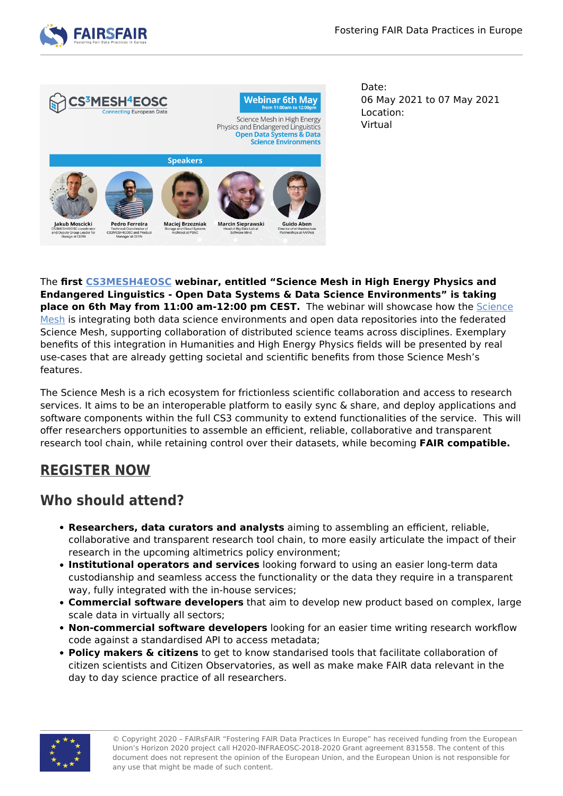



Date: 06 May 2021 to 07 May 2021 Location: Virtual

The **first [CS3MESH4EOSC](https://cs3mesh4eosc.eu) webinar, entitled "Science Mesh in High Energy Physics and Endangered Linguistics - Open Data Systems & Data Science Environments" is taking place on 6th May from 11:00 am-12:00 pm CEST.** The webinar will showcase how the [Science](https://cs3mesh4eosc.eu/science-mesh) [Mesh](https://cs3mesh4eosc.eu/science-mesh) is integrating both data science environments and open data repositories into the federated Science Mesh, supporting collaboration of distributed science teams across disciplines. Exemplary benefits of this integration in Humanities and High Energy Physics fields will be presented by real use-cases that are already getting societal and scientific benefits from those Science Mesh's features.

The Science Mesh is a rich ecosystem for frictionless scientific collaboration and access to research services. It aims to be an interoperable platform to easily sync & share, and deploy applications and software components within the full CS3 community to extend functionalities of the service. This will offer researchers opportunities to assemble an efficient, reliable, collaborative and transparent research tool chain, while retaining control over their datasets, while becoming **FAIR compatible.**

## **[REGISTER NOW](https://us02web.zoom.us/webinar/register/WN_kw4vYrQjSKS7zE2oYia_EA)**

## **Who should attend?**

- **Researchers, data curators and analysts** aiming to assembling an efficient, reliable, collaborative and transparent research tool chain, to more easily articulate the impact of their research in the upcoming altimetrics policy environment;
- **Institutional operators and services** looking forward to using an easier long-term data custodianship and seamless access the functionality or the data they require in a transparent way, fully integrated with the in-house services;
- **Commercial software developers** that aim to develop new product based on complex, large scale data in virtually all sectors;
- **Non-commercial software developers** looking for an easier time writing research workflow code against a standardised API to access metadata;
- **Policy makers & citizens** to get to know standarised tools that facilitate collaboration of citizen scientists and Citizen Observatories, as well as make make FAIR data relevant in the day to day science practice of all researchers.